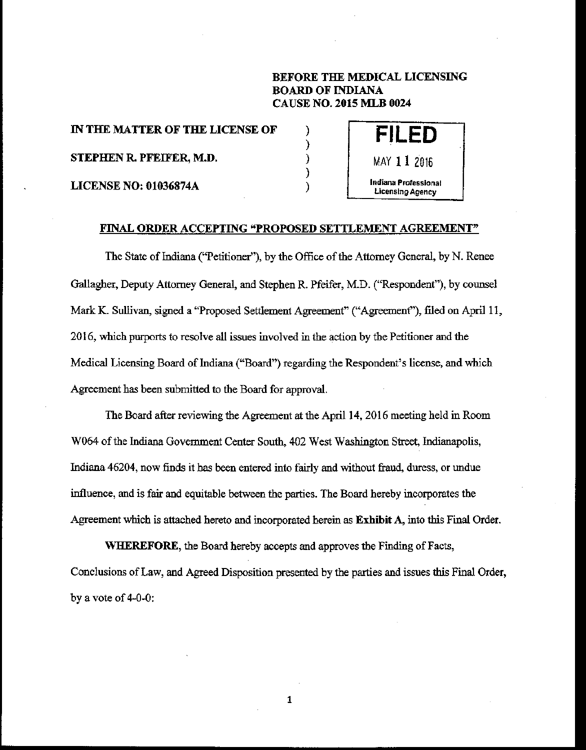# BEFORE THE MEDICAL LICENSING BOARD OF INDIANA CAUSE NO. 2015 MLB 0024

IN THE MATTER OF THE LICENSE OF STEPHEN R. PFEIFER, M.D. LICENSE NO: 01036874A



## FINAL ORDER ACCEPTING "PROPOSED SETTLEMENT AGREEMENT"

) ) ) )

The State of Indiana ("Petitioner""), by the Office of the Attorney General, by N. Renee Gallagher, Deputy Attorney General, and Stephen R. Pfeifer, M.D. ("Respondent"), by counsel Mark K. Sullivan, signed a "Proposed Settlement Agreement" ("Agreement"), filed on April 11, **2016, which purports to resolve all issues involved in the action by the Petitioner and the**  Medical Licensing Board of Indiana ("Board") regarding the Respondent's license, and which Agreement has been submitted to the Board for approval.

The Board after reviewing the Agreement at the April 14, 2016 meeting held in Room W064 of the Indiana Govermnent Center South, 402 West Washington Street, Indianapolis, Indiana 46204, now finds it has been entered into fairly and without fraud, duress, or undue **influence, and is fair and equitable between the parties. The Board hereby incorporates the**  Agreement which is attached hereto and incorporated herein as Exhibit A, into this Final Order.

WHEREFORE, the Board hereby accepts and approves the Finding of Facts, **Conclusions of Law, and Agreed Disposition presented by the parties and issues this Final Order,**  by a vote of 4-0-0:

1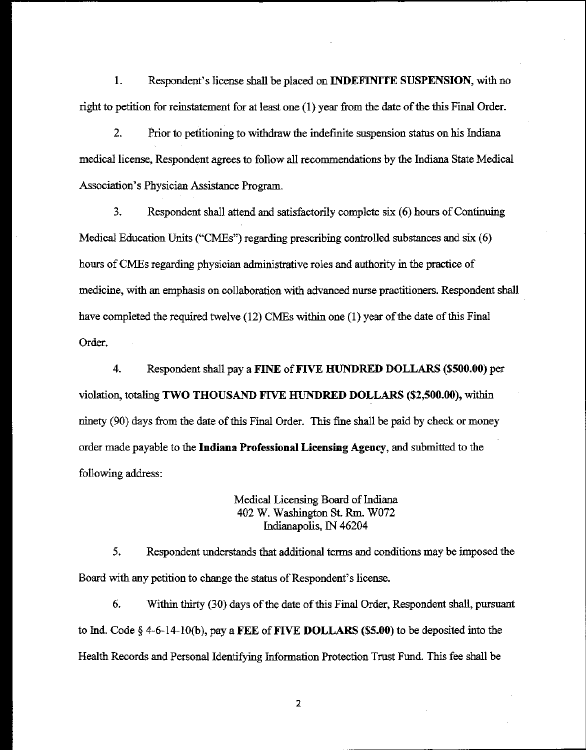I. Respondent's license shall be placed on INDEFINITE SUSPENSION, with no right to petition for reinstatement for at least one (I) year from the date of the this Final Order.

2. Prior to petitioning to withdraw the indefinite suspension status on his Indiana medical license, Respondent agrees to follow all recommendations by the Indiana State Medical Association's Physician Assistance Program.

3. Respondent shall attend and satisfactorily complete six (6) hours of Continuing Medical Education Units ("CMEs") regarding prescribing controlled substances and six (6) hours of CMEs regarding physician administrative roles and authority in the practice of medicine, with an emphasis on collaboration with advanced nurse practitioners. Respondent shall have completed the required twelve (12) CMEs within one (I) year of the date of this Final Order.

4. Respondent shall pay a FINE of FIVE HUNDRED DOLLARS (\$500.00) per violation, totaling TWO THOUSAND FIVE HUNDRED DOLLARS (\$2,500.00), within ninety (90) days from the date of this Final Order. This fine shall be paid by check or money order made payable to the Indiana Professional Licensing Agency, and submitted to the following address:

> Medical Licensing Board of Indiana 402 w. Washington St. Rm. *won*  Indianapolis, IN 46204

5. Respondent understands that additional terms and conditions may be imposed the Board with any petition to change the status of Respondent's license.

6. Within thirty (30) days of the date of this Final Order, Respondent shall, pursuant to Ind. Code  $\S$  4-6-14-10(b), pay a FEE of FIVE DOLLARS (\$5.00) to be deposited into the Health Records and Personal Identifying Information Protection Trust Fund. This fee shall be

2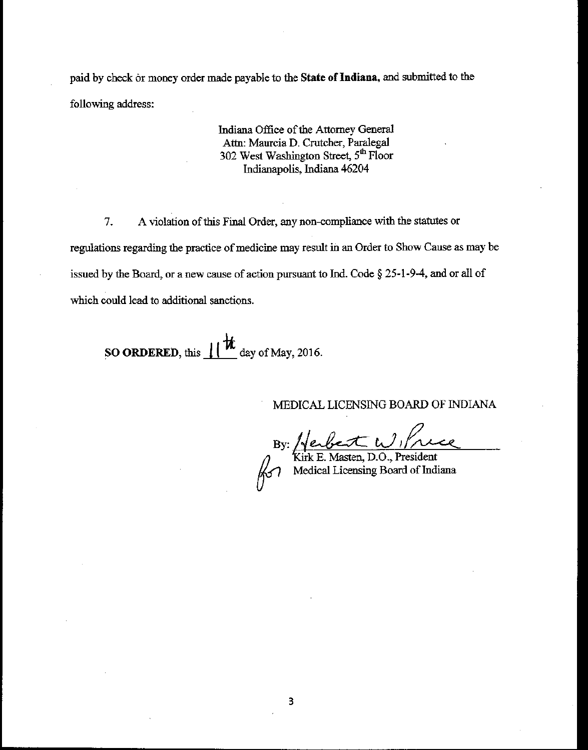paid by check or money order made payable to the State of Indiana, and submitted to the following address:

> Indiana Office of the Attorney General Attn: Maurcia D. Crutcher, Paralegal 302 West Washington Street, 5<sup>th</sup> Floor Indianapolis, Indiana 46204

7. A violation of this Final Order, any non-compliance with the statutes or regulations regarding the practice of medicine may result in an Order to Show Cause as may be issued by the Board, or a new cause of action pursuant to Ind. Code  $\S 25$ -1-9-4, and or all of which could lead to additional sanctions.

SO ORDERED, this  $\|\mathbf{t}\|$  day of May, 2016.

MEDICAL LICENSING BOARD OF INDIANA

Xirk E. Masten, D.O., President<br>Medical Licensing Board of Indiana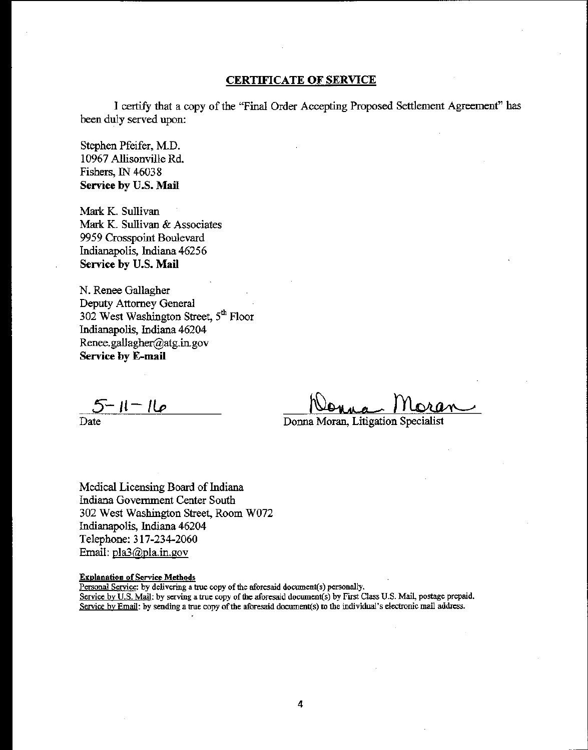# CERTIFICATE OF SERVICE

I certifY that a copy of the "Final Order Accepting Proposed Settlement Agreement" has been duly served upon:

Stephen Pfeifer, M.D. 10967 Allisonville Rd. Fishers, IN 46038 Service by U.S. Mail

Mark K. Sullivan Mark K. Sullivan & Associates 9959 Crosspoint Boulevard Indianapolis, Indiana 46256 Service by U.S. Mail

N. Renee Gallagher Deputy Attorney General 302 West Washington Street, 5<sup>th</sup> Floor Indianepolis, Indiana 46204 Renee.gallagher@atg.in.gov Service by E-mail

 $5 - 11 - 16$ 

Date

Donna Moran, Litigation Specialist

Medical Licensing Board of Indiana Indiana Government Center South 302 West Washington Street, Room W072 Indianapolis, Indiana 46204 Telephone: 317-234-2060 Email: pla3@pla.in.gov

#### Explanation of Service Methods

Personal Seryice: by delivering a true copy of the aforesaid document(s) personally.

Service by U.S. Mail: by serving a true copy of the aforesaid document(s) by First Class U.S. Mail, postage prepaid. Service by Email: by sending a true copy of the aforesaid document(s) to the individual's electronic mail address.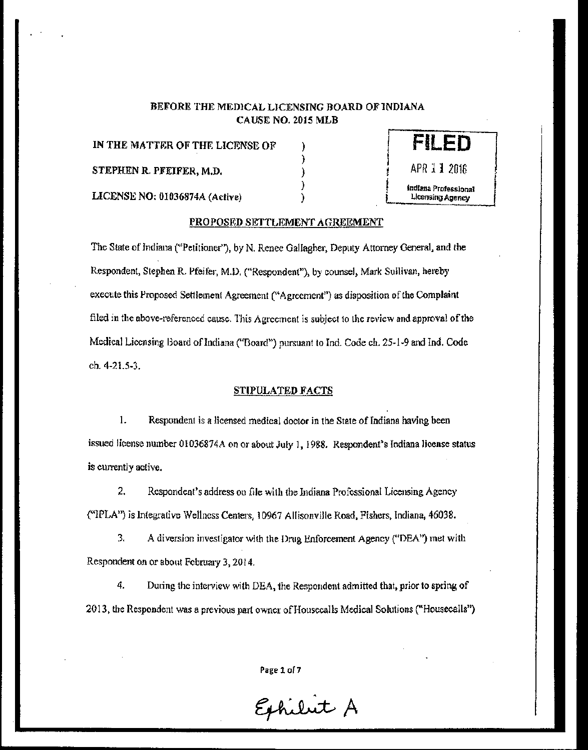# BEFORE THE MEDICAL LICENSING BOARD OF INDIANA CAUSE NO. 2015 MLB

)

)

IN THE MATTER OF THE LICENSE OF  $\qquad$ ) STEPHEN R. PFEIFER, M.D. )



I

I I I

LICENSE NO: 01036874A (Active) )

# PROPOSED SETTLEMENT AGREEMENT

The State of Indiana («Petitioner''), by N. Renee OalJagher, Deputy Attorney General, and the Respondent, Stephen R. Pfeifer, M.D. ("Respondent"), by counsel, Mark Sullivan, hereby execute this Proposed Settlemen! Agreement ("Agreement") as disposition of the Complaint filed in the above-referenced cause. This Agreement is subject to the review and approval of the Medical Liccnsing Board of Indiana ("Board") pursuant to Ind. Code ch. 25-1-9 and Ind. Code ch. 4-21.5-3.

## STIPULATED FACTS

1. Respondent is a licensed medical doctor in the State of Indiana having been issued license number 01036874A on or about July 1, 1988. Respondent's Indiana license status is currently active.

2. Respondent's address on file with the Indiana Professional Licensing Agency («IPLA") is Integrative Wellncss Centers, 10967 All isonville Road, Fishers, Indiana, 46038.

3. A diversion investigator with the Drug Enforcement Agency ("DEA") met with Respondent on or about February 3, 2014.

4. During the interview with DEA, the Respondent admitted that, prior to spring of 2013, the Respondent was a previous part owner of Housecalls Medical Solutions ("Housecalls")

Page 1 of 7

Exhibit A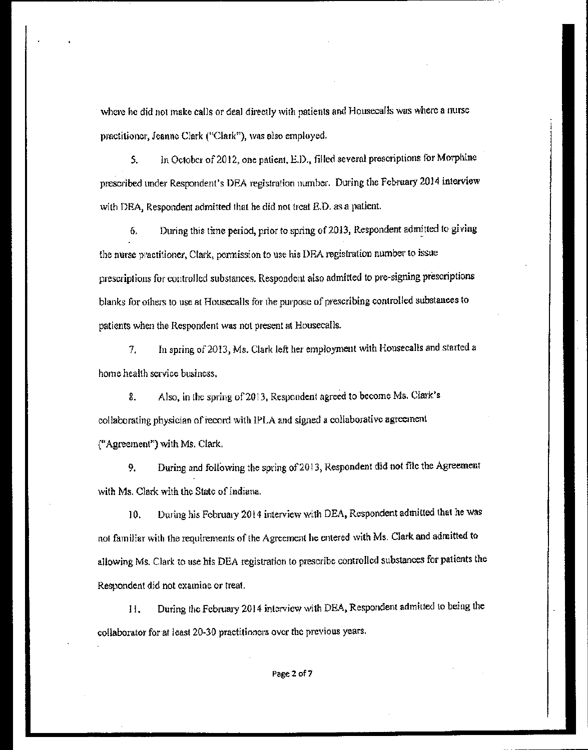where he did not make calls or deal directly with natients and Houseca/ls was where a nurse practitioner, Jeanne Clark ("Clark"), was also employed.

5. In October of 2012, one patient, E.D., filled several prescriptions for Morphine prescribed under Respondent's DEA registration number. During the February 2014 interview with DEA, Respondent admitted that he did not freat  $E.D.$  as a patient.

6. During this time period, prior to spring of 2013, Respondent admitted to giving the nurse practitioner, Clark, permission to use his DEA registration number to issue prescriptions for controlled substances. Respondent a!so admitted to pre-signing prescriptions blanks for others to use at Housecalls for the purpose of prescribing controlled substances to patients when the Respondent was not present at Housecalls.

7. In spring o£2013, Ms. Clark left her employment with Housecalls and started a home health service business,

8. Also, in the spring of 2013, Respondent agreed to become Ms. Clark's collaborating physician of record with IPLA and signed a collaborative agreement. ("Agreement") with Ms. Clark.

9. During and following the spring of 2013, Respondent did not file the Agreement with Ms. Clark with the State of Indiana.

10. During his February 2014 interview with DEA, Respondent admitted that he was not familiar with the requirements of the Agreement he entered with Ms. Clark and admitted to allowing Ms. Clark to use his DEA registration to prescribe controlled substances for patients the Respondent did not examine or treat

I I. During the February 2014 interview with DEA. Respondent admitted to being the collaborator for at least 20-30 practitioners over the previous years.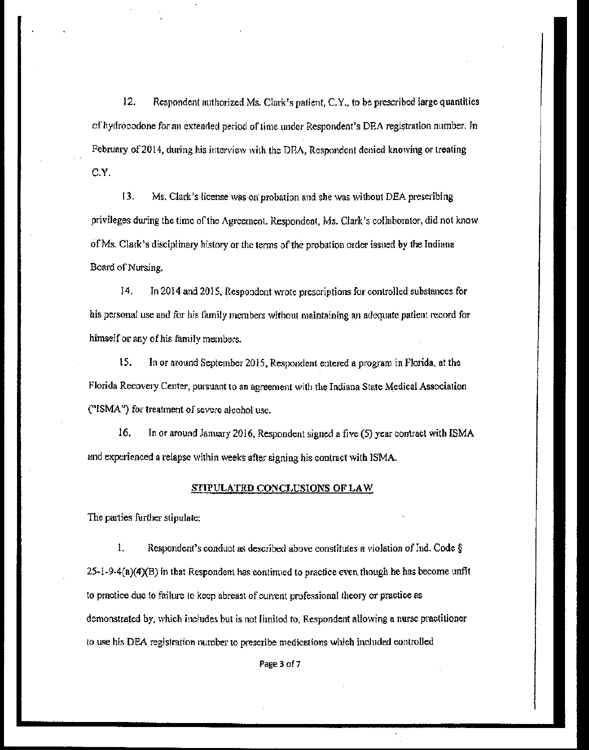12. Respondent amhorized Ms. Clark's patient, C. Y., to be prescribed large quantities of hydrocodone for an extended period of time under Respondent's DEA registration number. In February of2014, during his interview with the DRA, Respondent denied knowing or treating C.Y.

13. Ms. Clark's license was on· probation and she was without DBA prescribing privileges during the time of the Agreement. Respondent, Ms. Clark's collaborator, did not know of Ms. Clark's disciplinary history or the terms of the probation order issued by the Indiana Board of Nursing.

14. In 2014 and 2015, Respondent wrote prescriptions for controlled substances for his personal use and for his family members without maintaining an adequate patient record for himself or any of his family members.

15. In or around September 2015, Respondent entered a program in Florida, at the Florida Recovery Center, pursuant to an agreement with the Indiana State Medical Association ("ISMA") for treatment of severe alcohol usc.

16. In or around January 2016, Respondent signed a five (5) year contract with ISMA and experienced a relapse within weeks after signing his contract with ISMA.

#### STIPULATED CONCLUSIONS OF LAW

The parties further stipulate:

1. Respondent's conduct as described above constitutes a violation of Ind. Code  $\S$  $25$ -1-9-4(a)(4)(B) in that Respondent has continued to practice even though he has become unfit to practice due to failure to keep abreast of current professional theory or practice as demonstrated by, which includes but is not limited to, Respondent allowing a nurse practitioner to use his DEA registration number to prescribe medications which included controlled

Page 3 of 7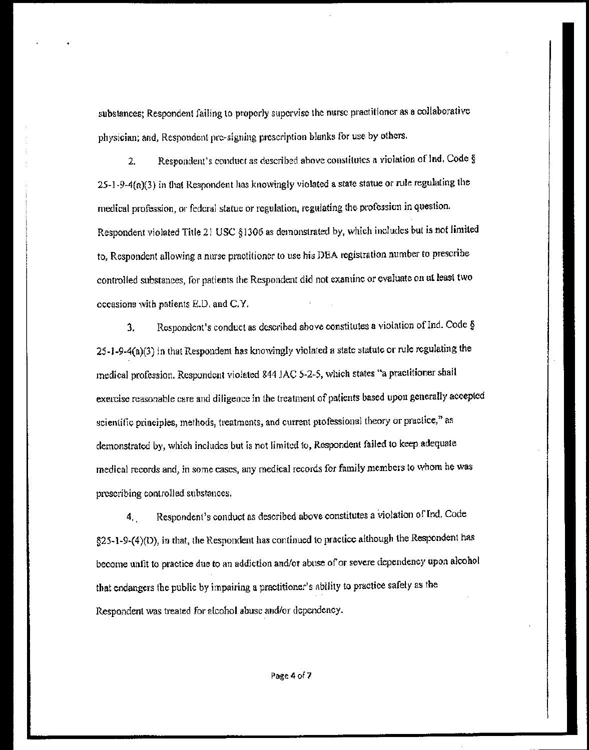substances; Respondent failing to properly supervise the nurse practitioner as a collaborative physician; and, Respondent pre-signing prescription blanks for use by others.

Respondent's conduct as described above constitutes a violation of Ind. Code §  $\overline{2}$ .  $25-1-9-4(a)(3)$  in that Respondent has knowingly violated a state statue or rule regulating the medical profession, or federal statue or regulation, regulating the profession in question. Respondent violated Title 21 USC §1306 as demonstrated by, which includes but is not limited to, Respondent allowing a nurse practitioner to use his DEA registration number to prescribe controlled substances, for patients the Respondent did not examine or evaluate on at least two occasions with patients E.D. and C.Y.

Respondent's conduct as described above constitutes a violation of Ind. Code § 3. 25-1-9-4(a)(3) in that Respondent has knowingly violated a state statute or rule regulating the medical profession. Respondent violated 844 JAC 5-2-5, which states "a practitioner shall exercise reasonable care and diligence in the treatment of patients based upon generally accepted scientific principles, methods, treatments, and current professional theory or practice," as demonstrated by, which includes but is not limited to, Respondent failed to keep adequate medical records and, in some cases, any medical records for family members to whom he was prescribing controlled substances.

Respondent's conduct as described above constitutes a violation of Ind. Code 4. §25-1-9-(4)(D), in that, the Respondent has continued to practice although the Respondent has become unfit to practice due to an addiction and/or abuse of or severe dependency upon alcohol that endangers the public by impairing a practitioner's ability to practice safely as the Respondent was treated for alcohol abuse and/or dependency.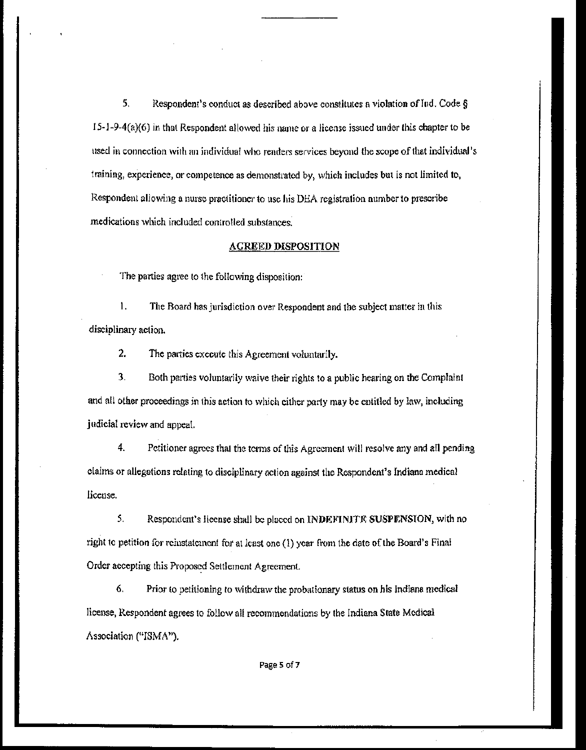5. Respondent's conduct as described above constitutes a violation of Ind. Code  $\S$  $15-1-9-4(n)(6)$  in that Respondent allowed his name or a license issued under this chapter to be used in connection with an individual who renders services beyond the scope of that individtud's training, experience, or competence as demonstrated by, which includes but is not limited to, Respondent allowing a nurse practitioner to use his DEA registration number to prescribe medications which included controlled substances.

#### AGREED DISPOSITION

The parties agree to the following disposition:

1. The Board has jurisdiction over Respondent and the subject matter in this disciplinary action.

2. The parties execute this Agreement voluntarily.

3. Both parties voluntarily waive their rights to a public hearing on the Complaint and all other proceedings in this action to which either party may be entitled by law, including judicial review and appeal.

4. Petitioner agrees that the terms of this Agreement will resolve any and all pending claim:; or allegations relating to disciplinary action against the Respondent's Indiana medical license.

5. Respondent's license shall be placed on INDEFINITE SUSPENSION, with no right to petition for rclustatcmcn! for at least one (1) year from the date of the Board's Final Order accepting this Proposed Settlement Agreement.

6. Prior to petitioning to withdraw the probationary status on his Indiana medical license, Respondent agrees to follow all recommendations by the Indiana State Medical Association ("ISMA").

Page 5 of 7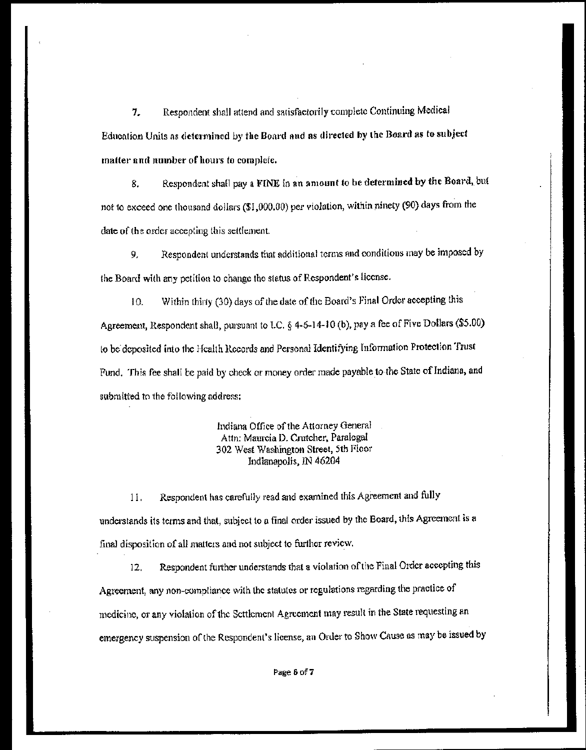7. Respondent shall attend and satisfactorily complete Continuing Medical Education Units as determined by the Board and as directed by the Board as to subject matter and number of hours to complete,

8. Respondent shall pay a FINE in an amount to be determined by the Board, but not to exceed one thousand dollars (\$1,000.00) per violation, within ninety (90) days from the date of the order accepting this seltlement.

9. Respondent understands that additional terms and conditions may be imposed by the Board with any petition to change the status of Respondent's license.

10. Within thirty (30) days of the date of the Board's Final Order accepting this Agreement, Respondent shall, pursuant to LC. § 4·6~14-10 (b), pay a fee of Five Dollars (\$5.00) to be deposited into the Health Records and Personal Identifying Information Protection Trust Fund. This fee shall be paid by check or money order made payable to the State of Indiana, and submitted to the following address;

> Indiana Office of the Attorney General Attn: Maurcia D. Crutcher, Paralegal 302 West Washington Street, 5th Floor Indianapolis. IN 46204

11. Respondent has carefully read and examined this Agreement and fully understands its terms and that, subject to a final order issued by the Board, this Agreement is a final disposition of all matters and not subject to further review.

12. Respondent further understands that a violation of the Final Order accepting this Agreement, any non-compliance with the statutes or regulations regarding the practice of medicine, or any violation of the Settlement Agreement may result in the State requesting an emergency suspension of the Respondent's license, an Order to Show Cause as may be issued by